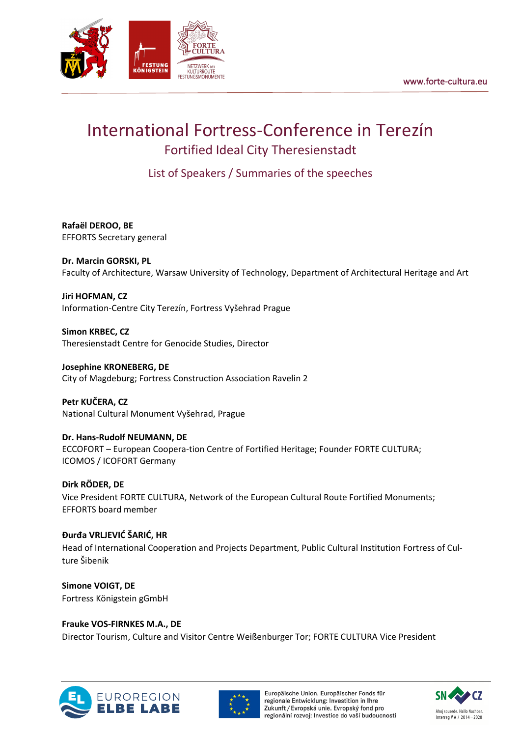

# International Fortress-Conference in Terezín Fortified Ideal City Theresienstadt

List of Speakers / Summaries of the speeches

**Rafaël DEROO, BE** EFFORTS Secretary general

**Dr. Marcin GORSKI, PL** Faculty of Architecture, Warsaw University of Technology, Department of Architectural Heritage and Art

**Jiri HOFMAN, CZ** Information-Centre City Terezín, Fortress Vyšehrad Prague

**Simon KRBEC, CZ** Theresienstadt Centre for Genocide Studies, Director

**Josephine KRONEBERG, DE** City of Magdeburg; Fortress Construction Association Ravelin 2

**Petr KUČERA, CZ** National Cultural Monument Vyšehrad, Prague

**Dr. Hans-Rudolf NEUMANN, DE** ECCOFORT – European Coopera-tion Centre of Fortified Heritage; Founder FORTE CULTURA; ICOMOS / ICOFORT Germany

**Dirk RÖDER, DE** Vice President FORTE CULTURA, Network of the European Cultural Route Fortified Monuments; EFFORTS board member

**Đurđa VRLJEVIĆ ŠARIĆ, HR** Head of International Cooperation and Projects Department, Public Cultural Institution Fortress of Culture Šibenik

**Simone VOIGT, DE** Fortress Königstein gGmbH

**Frauke VOS-FIRNKES M.A., DE** Director Tourism, Culture and Visitor Centre Weißenburger Tor; FORTE CULTURA Vice President





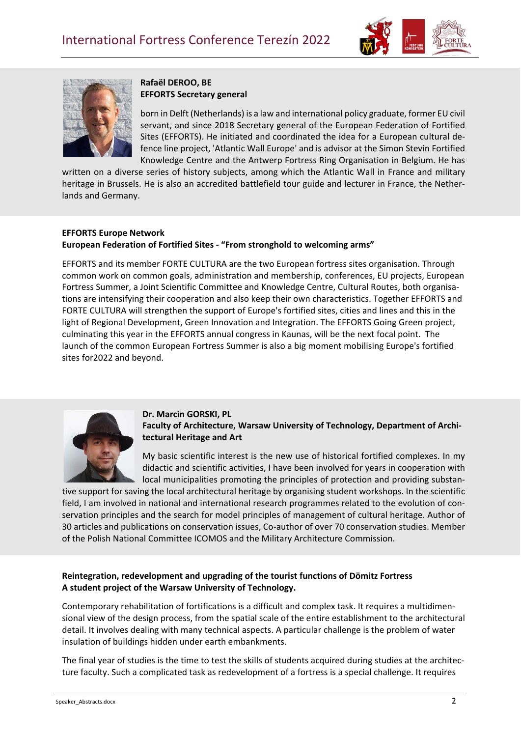



# **Rafaël DEROO, BE EFFORTS Secretary general**

born in Delft (Netherlands) is a law and international policy graduate, former EU civil servant, and since 2018 Secretary general of the European Federation of Fortified Sites (EFFORTS). He initiated and coordinated the idea for a European cultural defence line project, 'Atlantic Wall Europe' and is advisor at the Simon Stevin Fortified Knowledge Centre and the Antwerp Fortress Ring Organisation in Belgium. He has

written on a diverse series of history subjects, among which the Atlantic Wall in France and military heritage in Brussels. He is also an accredited battlefield tour guide and lecturer in France, the Netherlands and Germany.

# **EFFORTS Europe Network European Federation of Fortified Sites - "From stronghold to welcoming arms"**

EFFORTS and its member FORTE CULTURA are the two European fortress sites organisation. Through common work on common goals, administration and membership, conferences, EU projects, European Fortress Summer, a Joint Scientific Committee and Knowledge Centre, Cultural Routes, both organisations are intensifying their cooperation and also keep their own characteristics. Together EFFORTS and FORTE CULTURA will strengthen the support of Europe's fortified sites, cities and lines and this in the light of Regional Development, Green Innovation and Integration. The EFFORTS Going Green project, culminating this year in the EFFORTS annual congress in Kaunas, will be the next focal point. The launch of the common European Fortress Summer is also a big moment mobilising Europe's fortified sites for2022 and beyond.



#### **Dr. Marcin GORSKI, PL Faculty of Architecture, Warsaw University of Technology, Department of Architectural Heritage and Art**

My basic scientific interest is the new use of historical fortified complexes. In my didactic and scientific activities, I have been involved for years in cooperation with local municipalities promoting the principles of protection and providing substan-

tive support for saving the local architectural heritage by organising student workshops. In the scientific field, I am involved in national and international research programmes related to the evolution of conservation principles and the search for model principles of management of cultural heritage. Author of 30 articles and publications on conservation issues, Co-author of over 70 conservation studies. Member of the Polish National Committee ICOMOS and the Military Architecture Commission.

## **Reintegration, redevelopment and upgrading of the tourist functions of Dömitz Fortress A student project of the Warsaw University of Technology.**

Contemporary rehabilitation of fortifications is a difficult and complex task. It requires a multidimensional view of the design process, from the spatial scale of the entire establishment to the architectural detail. It involves dealing with many technical aspects. A particular challenge is the problem of water insulation of buildings hidden under earth embankments.

The final year of studies is the time to test the skills of students acquired during studies at the architecture faculty. Such a complicated task as redevelopment of a fortress is a special challenge. It requires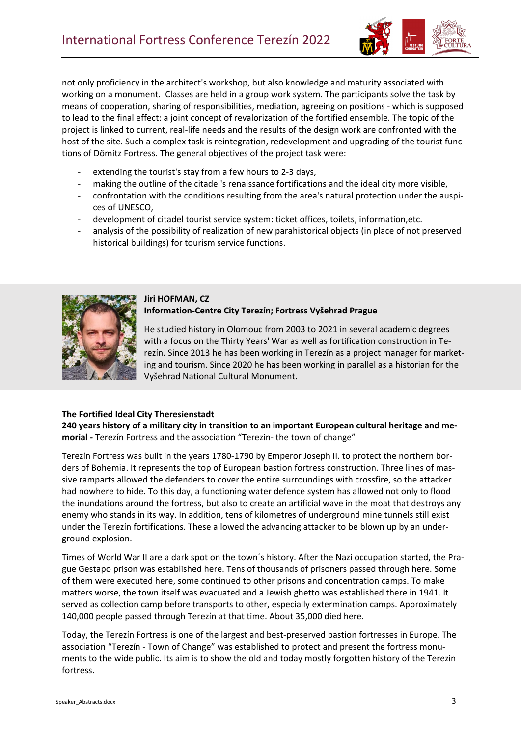

not only proficiency in the architect's workshop, but also knowledge and maturity associated with working on a monument. Classes are held in a group work system. The participants solve the task by means of cooperation, sharing of responsibilities, mediation, agreeing on positions - which is supposed to lead to the final effect: a joint concept of revalorization of the fortified ensemble. The topic of the project is linked to current, real-life needs and the results of the design work are confronted with the host of the site. Such a complex task is reintegration, redevelopment and upgrading of the tourist functions of Dömitz Fortress. The general objectives of the project task were:

- extending the tourist's stay from a few hours to 2-3 days,
- making the outline of the citadel's renaissance fortifications and the ideal city more visible,
- confrontation with the conditions resulting from the area's natural protection under the auspices of UNESCO,
- development of citadel tourist service system: ticket offices, toilets, information, etc.
- analysis of the possibility of realization of new parahistorical objects (in place of not preserved historical buildings) for tourism service functions.



#### **Jiri HOFMAN, CZ Information-Centre City Terezín; Fortress Vyšehrad Prague**

He studied history in Olomouc from 2003 to 2021 in several academic degrees with a focus on the Thirty Years' War as well as fortification construction in Terezín. Since 2013 he has been working in Terezín as a project manager for marketing and tourism. Since 2020 he has been working in parallel as a historian for the Vyšehrad National Cultural Monument.

#### **The Fortified Ideal City Theresienstadt**

**240 years history of a military city in transition to an important European cultural heritage and memorial -** Terezín Fortress and the association "Terezin- the town of change"

Terezín Fortress was built in the years 1780-1790 by Emperor Joseph II. to protect the northern borders of Bohemia. It represents the top of European bastion fortress construction. Three lines of massive ramparts allowed the defenders to cover the entire surroundings with crossfire, so the attacker had nowhere to hide. To this day, a functioning water defence system has allowed not only to flood the inundations around the fortress, but also to create an artificial wave in the moat that destroys any enemy who stands in its way. In addition, tens of kilometres of underground mine tunnels still exist under the Terezín fortifications. These allowed the advancing attacker to be blown up by an underground explosion.

Times of World War II are a dark spot on the town´s history. After the Nazi occupation started, the Prague Gestapo prison was established here. Tens of thousands of prisoners passed through here. Some of them were executed here, some continued to other prisons and concentration camps. To make matters worse, the town itself was evacuated and a Jewish ghetto was established there in 1941. It served as collection camp before transports to other, especially extermination camps. Approximately 140,000 people passed through Terezín at that time. About 35,000 died here.

Today, the Terezín Fortress is one of the largest and best-preserved bastion fortresses in Europe. The association "Terezín - Town of Change" was established to protect and present the fortress monuments to the wide public. Its aim is to show the old and today mostly forgotten history of the Terezin fortress.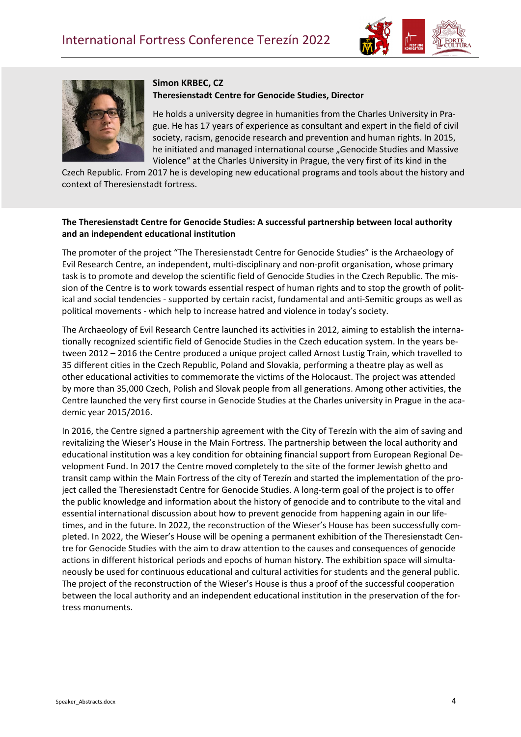



#### **Simon KRBEC, CZ Theresienstadt Centre for Genocide Studies, Director**

He holds a university degree in humanities from the Charles University in Prague. He has 17 years of experience as consultant and expert in the field of civil society, racism, genocide research and prevention and human rights. In 2015, he initiated and managed international course "Genocide Studies and Massive Violence" at the Charles University in Prague, the very first of its kind in the

Czech Republic. From 2017 he is developing new educational programs and tools about the history and context of Theresienstadt fortress.

## **The Theresienstadt Centre for Genocide Studies: A successful partnership between local authority and an independent educational institution**

The promoter of the project "The Theresienstadt Centre for Genocide Studies" is the Archaeology of Evil Research Centre, an independent, multi-disciplinary and non-profit organisation, whose primary task is to promote and develop the scientific field of Genocide Studies in the Czech Republic. The mission of the Centre is to work towards essential respect of human rights and to stop the growth of political and social tendencies - supported by certain racist, fundamental and anti-Semitic groups as well as political movements - which help to increase hatred and violence in today's society.

The Archaeology of Evil Research Centre launched its activities in 2012, aiming to establish the internationally recognized scientific field of Genocide Studies in the Czech education system. In the years between 2012 – 2016 the Centre produced a unique project called Arnost Lustig Train, which travelled to 35 different cities in the Czech Republic, Poland and Slovakia, performing a theatre play as well as other educational activities to commemorate the victims of the Holocaust. The project was attended by more than 35,000 Czech, Polish and Slovak people from all generations. Among other activities, the Centre launched the very first course in Genocide Studies at the Charles university in Prague in the academic year 2015/2016.

In 2016, the Centre signed a partnership agreement with the City of Terezín with the aim of saving and revitalizing the Wieser's House in the Main Fortress. The partnership between the local authority and educational institution was a key condition for obtaining financial support from European Regional Development Fund. In 2017 the Centre moved completely to the site of the former Jewish ghetto and transit camp within the Main Fortress of the city of Terezín and started the implementation of the project called the Theresienstadt Centre for Genocide Studies. A long-term goal of the project is to offer the public knowledge and information about the history of genocide and to contribute to the vital and essential international discussion about how to prevent genocide from happening again in our lifetimes, and in the future. In 2022, the reconstruction of the Wieser's House has been successfully completed. In 2022, the Wieser's House will be opening a permanent exhibition of the Theresienstadt Centre for Genocide Studies with the aim to draw attention to the causes and consequences of genocide actions in different historical periods and epochs of human history. The exhibition space will simultaneously be used for continuous educational and cultural activities for students and the general public. The project of the reconstruction of the Wieser's House is thus a proof of the successful cooperation between the local authority and an independent educational institution in the preservation of the fortress monuments.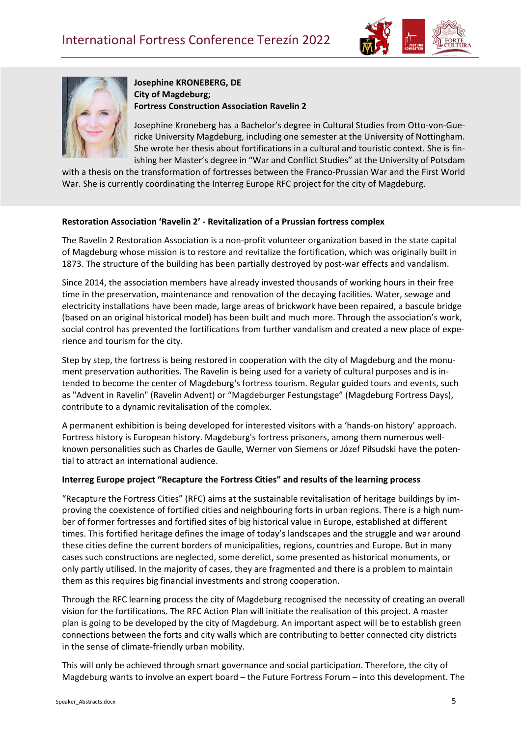



**Josephine KRONEBERG, DE City of Magdeburg; Fortress Construction Association Ravelin 2**

Josephine Kroneberg has a Bachelor's degree in Cultural Studies from Otto-von-Guericke University Magdeburg, including one semester at the University of Nottingham. She wrote her thesis about fortifications in a cultural and touristic context. She is finishing her Master's degree in "War and Conflict Studies" at the University of Potsdam

with a thesis on the transformation of fortresses between the Franco-Prussian War and the First World War. She is currently coordinating the Interreg Europe RFC project for the city of Magdeburg.

#### **Restoration Association 'Ravelin 2' - Revitalization of a Prussian fortress complex**

The Ravelin 2 Restoration Association is a non-profit volunteer organization based in the state capital of Magdeburg whose mission is to restore and revitalize the fortification, which was originally built in 1873. The structure of the building has been partially destroyed by post-war effects and vandalism.

Since 2014, the association members have already invested thousands of working hours in their free time in the preservation, maintenance and renovation of the decaying facilities. Water, sewage and electricity installations have been made, large areas of brickwork have been repaired, a bascule bridge (based on an original historical model) has been built and much more. Through the association's work, social control has prevented the fortifications from further vandalism and created a new place of experience and tourism for the city.

Step by step, the fortress is being restored in cooperation with the city of Magdeburg and the monument preservation authorities. The Ravelin is being used for a variety of cultural purposes and is intended to become the center of Magdeburg's fortress tourism. Regular guided tours and events, such as "Advent in Ravelin" (Ravelin Advent) or "Magdeburger Festungstage" (Magdeburg Fortress Days), contribute to a dynamic revitalisation of the complex.

A permanent exhibition is being developed for interested visitors with a 'hands-on history' approach. Fortress history is European history. Magdeburg's fortress prisoners, among them numerous wellknown personalities such as Charles de Gaulle, Werner von Siemens or Józef Piłsudski have the potential to attract an international audience.

#### **Interreg Europe project "Recapture the Fortress Cities" and results of the learning process**

"Recapture the Fortress Cities" (RFC) aims at the sustainable revitalisation of heritage buildings by improving the coexistence of fortified cities and neighbouring forts in urban regions. There is a high number of former fortresses and fortified sites of big historical value in Europe, established at different times. This fortified heritage defines the image of today's landscapes and the struggle and war around these cities define the current borders of municipalities, regions, countries and Europe. But in many cases such constructions are neglected, some derelict, some presented as historical monuments, or only partly utilised. In the majority of cases, they are fragmented and there is a problem to maintain them as this requires big financial investments and strong cooperation.

Through the RFC learning process the city of Magdeburg recognised the necessity of creating an overall vision for the fortifications. The RFC Action Plan will initiate the realisation of this project. A master plan is going to be developed by the city of Magdeburg. An important aspect will be to establish green connections between the forts and city walls which are contributing to better connected city districts in the sense of climate-friendly urban mobility.

This will only be achieved through smart governance and social participation. Therefore, the city of Magdeburg wants to involve an expert board – the Future Fortress Forum – into this development. The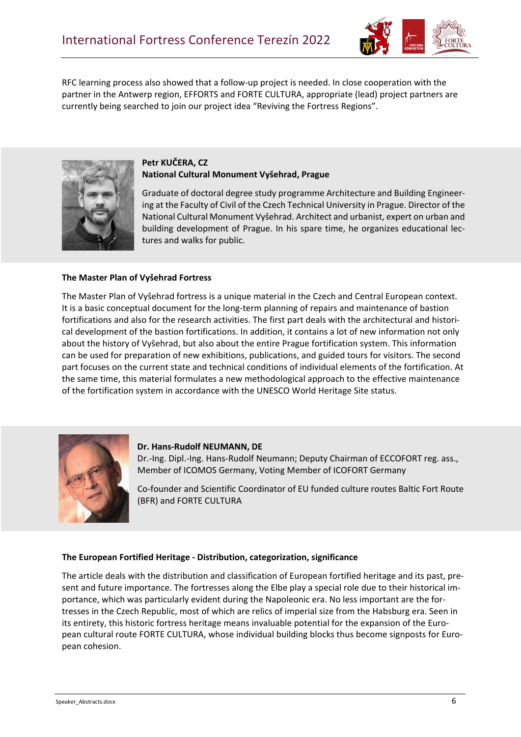

RFC learning process also showed that a follow-up project is needed. In close cooperation with the partner in the Antwerp region, EFFORTS and FORTE CULTURA, appropriate (lead) project partners are currently being searched to join our project idea "Reviving the Fortress Regions".



# **Petr KUČERA, CZ National Cultural Monument Vyšehrad, Prague**

Graduate of doctoral degree study programme Architecture and Building Engineering at the Faculty of Civil of the Czech Technical University in Prague. Director of the National Cultural Monument Vyšehrad. Architect and urbanist, expert on urban and building development of Prague. In his spare time, he organizes educational lectures and walks for public.

## **The Master Plan of Vyšehrad Fortress**

The Master Plan of Vyšehrad fortress is a unique material in the Czech and Central European context. It is a basic conceptual document for the long-term planning of repairs and maintenance of bastion fortifications and also for the research activities. The first part deals with the architectural and historical development of the bastion fortifications. In addition, it contains a lot of new information not only about the history of Vyšehrad, but also about the entire Prague fortification system. This information can be used for preparation of new exhibitions, publications, and guided tours for visitors. The second part focuses on the current state and technical conditions of individual elements of the fortification. At the same time, this material formulates a new methodological approach to the effective maintenance of the fortification system in accordance with the UNESCO World Heritage Site status.



#### **Dr. Hans-Rudolf NEUMANN, DE**

Dr.-Ing. Dipl.-Ing. Hans-Rudolf Neumann; Deputy Chairman of ECCOFORT reg. ass., Member of ICOMOS Germany, Voting Member of ICOFORT Germany

Co-founder and Scientific Coordinator of EU funded culture routes Baltic Fort Route (BFR) and FORTE CULTURA

## **The European Fortified Heritage - Distribution, categorization, significance**

The article deals with the distribution and classification of European fortified heritage and its past, present and future importance. The fortresses along the Elbe play a special role due to their historical importance, which was particularly evident during the Napoleonic era. No less important are the fortresses in the Czech Republic, most of which are relics of imperial size from the Habsburg era. Seen in its entirety, this historic fortress heritage means invaluable potential for the expansion of the European cultural route FORTE CULTURA, whose individual building blocks thus become signposts for European cohesion.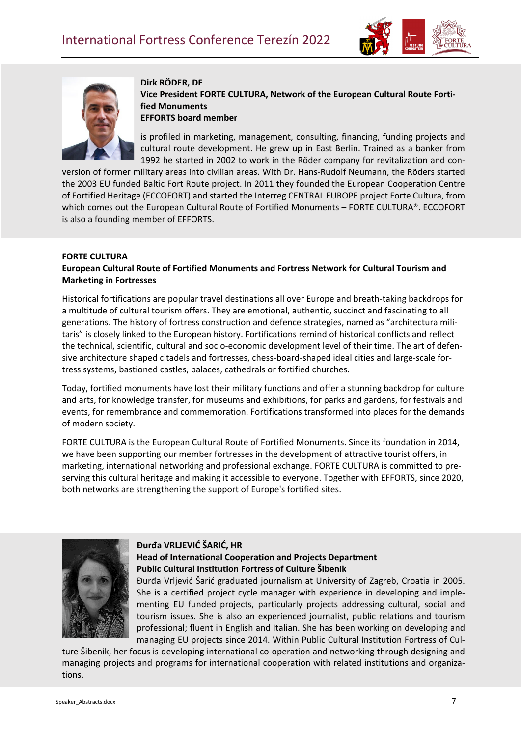



**Dirk RÖDER, DE Vice President FORTE CULTURA, Network of the European Cultural Route Fortified Monuments EFFORTS board member**

is profiled in marketing, management, consulting, financing, funding projects and cultural route development. He grew up in East Berlin. Trained as a banker from 1992 he started in 2002 to work in the Röder company for revitalization and con-

version of former military areas into civilian areas. With Dr. Hans-Rudolf Neumann, the Röders started the 2003 EU funded Baltic Fort Route project. In 2011 they founded the European Cooperation Centre of Fortified Heritage (ECCOFORT) and started the Interreg CENTRAL EUROPE project Forte Cultura, from which comes out the European Cultural Route of Fortified Monuments - FORTE CULTURA®. ECCOFORT is also a founding member of EFFORTS.

## **FORTE CULTURA**

## **European Cultural Route of Fortified Monuments and Fortress Network for Cultural Tourism and Marketing in Fortresses**

Historical fortifications are popular travel destinations all over Europe and breath-taking backdrops for a multitude of cultural tourism offers. They are emotional, authentic, succinct and fascinating to all generations. The history of fortress construction and defence strategies, named as "architectura militaris" is closely linked to the European history. Fortifications remind of historical conflicts and reflect the technical, scientific, cultural and socio-economic development level of their time. The art of defensive architecture shaped citadels and fortresses, chess-board-shaped ideal cities and large-scale fortress systems, bastioned castles, palaces, cathedrals or fortified churches.

Today, fortified monuments have lost their military functions and offer a stunning backdrop for culture and arts, for knowledge transfer, for museums and exhibitions, for parks and gardens, for festivals and events, for remembrance and commemoration. Fortifications transformed into places for the demands of modern society.

FORTE CULTURA is the European Cultural Route of Fortified Monuments. Since its foundation in 2014, we have been supporting our member fortresses in the development of attractive tourist offers, in marketing, international networking and professional exchange. FORTE CULTURA is committed to preserving this cultural heritage and making it accessible to everyone. Together with EFFORTS, since 2020, both networks are strengthening the support of Europe's fortified sites.



## **Đurđa VRLJEVIĆ ŠARIĆ, HR Head of International Cooperation and Projects Department Public Cultural Institution Fortress of Culture Šibenik**

Đurđa Vrljević Šarić graduated journalism at University of Zagreb, Croatia in 2005. She is a certified project cycle manager with experience in developing and implementing EU funded projects, particularly projects addressing cultural, social and tourism issues. She is also an experienced journalist, public relations and tourism professional; fluent in English and Italian. She has been working on developing and managing EU projects since 2014. Within Public Cultural Institution Fortress of Cul-

ture Šibenik, her focus is developing international co-operation and networking through designing and managing projects and programs for international cooperation with related institutions and organizations.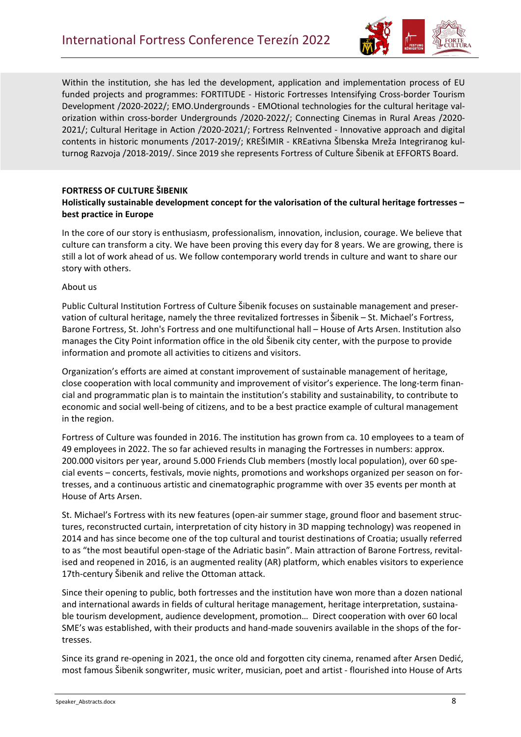

Within the institution, she has led the development, application and implementation process of EU funded projects and programmes: FORTITUDE - Historic Fortresses Intensifying Cross-border Tourism Development /2020-2022/; EMO.Undergrounds - EMOtional technologies for the cultural heritage valorization within cross-border Undergrounds /2020-2022/; Connecting Cinemas in Rural Areas /2020- 2021/; Cultural Heritage in Action /2020-2021/; Fortress ReInvented - Innovative approach and digital contents in historic monuments /2017-2019/; KREŠIMIR - KREativna ŠIbenska Mreža Integriranog kulturnog Razvoja /2018-2019/. Since 2019 she represents Fortress of Culture Šibenik at EFFORTS Board.

## **FORTRESS OF CULTURE ŠIBENIK**

#### **Holistically sustainable development concept for the valorisation of the cultural heritage fortresses – best practice in Europe**

In the core of our story is enthusiasm, professionalism, innovation, inclusion, courage. We believe that culture can transform a city. We have been proving this every day for 8 years. We are growing, there is still a lot of work ahead of us. We follow contemporary world trends in culture and want to share our story with others.

#### About us

Public Cultural Institution Fortress of Culture Šibenik focuses on sustainable management and preservation of cultural heritage, namely the three revitalized fortresses in Šibenik – St. Michael's Fortress, Barone Fortress, St. John's Fortress and one multifunctional hall – House of Arts Arsen. Institution also manages the City Point information office in the old Šibenik city center, with the purpose to provide information and promote all activities to citizens and visitors.

Organization's efforts are aimed at constant improvement of sustainable management of heritage, close cooperation with local community and improvement of visitor's experience. The long-term financial and programmatic plan is to maintain the institution's stability and sustainability, to contribute to economic and social well-being of citizens, and to be a best practice example of cultural management in the region.

Fortress of Culture was founded in 2016. The institution has grown from ca. 10 employees to a team of 49 employees in 2022. The so far achieved results in managing the Fortresses in numbers: approx. 200.000 visitors per year, around 5.000 Friends Club members (mostly local population), over 60 special events – concerts, festivals, movie nights, promotions and workshops organized per season on fortresses, and a continuous artistic and cinematographic programme with over 35 events per month at House of Arts Arsen.

St. Michael's Fortress with its new features (open-air summer stage, ground floor and basement structures, reconstructed curtain, interpretation of city history in 3D mapping technology) was reopened in 2014 and has since become one of the top cultural and tourist destinations of Croatia; usually referred to as "the most beautiful open-stage of the Adriatic basin". Main attraction of Barone Fortress, revitalised and reopened in 2016, is an augmented reality (AR) platform, which enables visitors to experience 17th-century Šibenik and relive the Ottoman attack.

Since their opening to public, both fortresses and the institution have won more than a dozen national and international awards in fields of cultural heritage management, heritage interpretation, sustainable tourism development, audience development, promotion… Direct cooperation with over 60 local SME's was established, with their products and hand-made souvenirs available in the shops of the fortresses.

Since its grand re-opening in 2021, the once old and forgotten city cinema, renamed after Arsen Dedić, most famous Šibenik songwriter, music writer, musician, poet and artist - flourished into House of Arts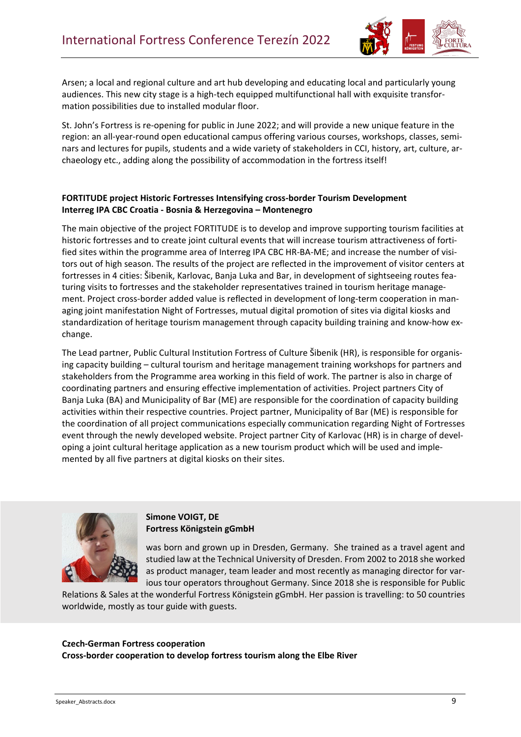

Arsen; a local and regional culture and art hub developing and educating local and particularly young audiences. This new city stage is a high-tech equipped multifunctional hall with exquisite transformation possibilities due to installed modular floor.

St. John's Fortress is re-opening for public in June 2022; and will provide a new unique feature in the region: an all-year-round open educational campus offering various courses, workshops, classes, seminars and lectures for pupils, students and a wide variety of stakeholders in CCI, history, art, culture, archaeology etc., adding along the possibility of accommodation in the fortress itself!

# **FORTITUDE project Historic Fortresses Intensifying cross-border Tourism Development Interreg IPA CBC Croatia - Bosnia & Herzegovina – Montenegro**

The main objective of the project FORTITUDE is to develop and improve supporting tourism facilities at historic fortresses and to create joint cultural events that will increase tourism attractiveness of fortified sites within the programme area of Interreg IPA CBC HR-BA-ME; and increase the number of visitors out of high season. The results of the project are reflected in the improvement of visitor centers at fortresses in 4 cities: Šibenik, Karlovac, Banja Luka and Bar, in development of sightseeing routes featuring visits to fortresses and the stakeholder representatives trained in tourism heritage management. Project cross-border added value is reflected in development of long-term cooperation in managing joint manifestation Night of Fortresses, mutual digital promotion of sites via digital kiosks and standardization of heritage tourism management through capacity building training and know-how exchange.

The Lead partner, Public Cultural Institution Fortress of Culture Šibenik (HR), is responsible for organising capacity building – cultural tourism and heritage management training workshops for partners and stakeholders from the Programme area working in this field of work. The partner is also in charge of coordinating partners and ensuring effective implementation of activities. Project partners City of Banja Luka (BA) and Municipality of Bar (ME) are responsible for the coordination of capacity building activities within their respective countries. Project partner, Municipality of Bar (ME) is responsible for the coordination of all project communications especially communication regarding Night of Fortresses event through the newly developed website. Project partner City of Karlovac (HR) is in charge of developing a joint cultural heritage application as a new tourism product which will be used and implemented by all five partners at digital kiosks on their sites.



## **Simone VOIGT, DE Fortress Königstein gGmbH**

was born and grown up in Dresden, Germany. She trained as a travel agent and studied law at the Technical University of Dresden. From 2002 to 2018 she worked as product manager, team leader and most recently as managing director for various tour operators throughout Germany. Since 2018 she is responsible for Public

Relations & Sales at the wonderful Fortress Königstein gGmbH. Her passion is travelling: to 50 countries worldwide, mostly as tour guide with guests.

#### **Czech-German Fortress cooperation**

**Cross-border cooperation to develop fortress tourism along the Elbe River**